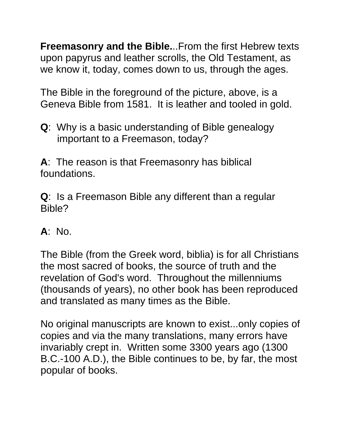**Freemasonry and the Bible.**..From the first Hebrew texts upon papyrus and leather scrolls, the Old Testament, as we know it, today, comes down to us, through the ages.

The Bible in the foreground of the picture, above, is a Geneva Bible from 1581. It is leather and tooled in gold.

**Q**: Why is a basic understanding of Bible genealogy important to a Freemason, today?

**A**: The reason is that Freemasonry has biblical foundations.

**Q**: Is a Freemason Bible any different than a regular Bible?

### **A**: No.

The Bible (from the Greek word, biblia) is for all Christians the most sacred of books, the source of truth and the revelation of God's word. Throughout the millenniums (thousands of years), no other book has been reproduced and translated as many times as the Bible.

No original manuscripts are known to exist...only copies of copies and via the many translations, many errors have invariably crept in. Written some 3300 years ago (1300 B.C.-100 A.D.), the Bible continues to be, by far, the most popular of books.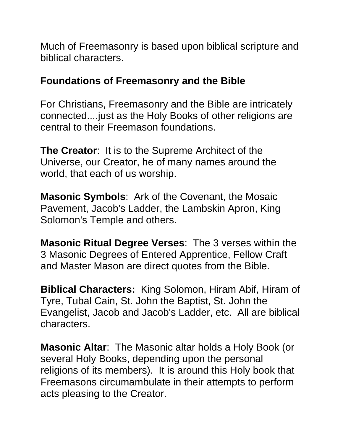Much of Freemasonry is based upon biblical scripture and biblical characters.

### **Foundations of Freemasonry and the Bible**

For Christians, Freemasonry and the Bible are intricately connected....just as the Holy Books of other religions are central to their Freemason foundations.

**The Creator**: It is to the Supreme Architect of the Universe, our Creator, he of many names around the world, that each of us worship.

**Masonic Symbols**: Ark of the Covenant, the Mosaic Pavement, Jacob's Ladder, the Lambskin Apron, King Solomon's Temple and others.

**Masonic Ritual Degree Verses**: The 3 verses within the 3 Masonic Degrees of Entered Apprentice, Fellow Craft and Master Mason are direct quotes from the Bible.

**Biblical Characters:** King Solomon, Hiram Abif, Hiram of Tyre, Tubal Cain, St. John the Baptist, St. John the Evangelist, Jacob and Jacob's Ladder, etc. All are biblical characters.

**Masonic Altar**: The Masonic altar holds a Holy Book (or several Holy Books, depending upon the personal religions of its members). It is around this Holy book that Freemasons circumambulate in their attempts to perform acts pleasing to the Creator.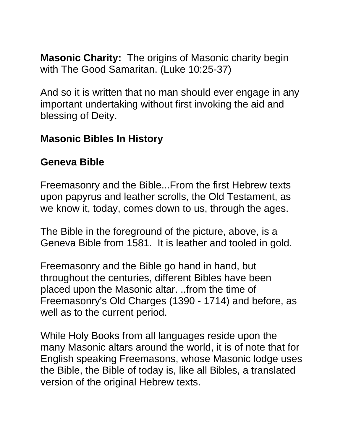**Masonic Charity:** The origins of Masonic charity begin with The Good Samaritan. (Luke 10:25-37)

And so it is written that no man should ever engage in any important undertaking without first invoking the aid and blessing of Deity.

### **Masonic Bibles In History**

### **Geneva Bible**

Freemasonry and the Bible...From the first Hebrew texts upon papyrus and leather scrolls, the Old Testament, as we know it, today, comes down to us, through the ages.

The Bible in the foreground of the picture, above, is a Geneva Bible from 1581. It is leather and tooled in gold.

Freemasonry and the Bible go hand in hand, but throughout the centuries, different Bibles have been placed upon the Masonic altar. ..from the time of Freemasonry's Old Charges (1390 - 1714) and before, as well as to the current period.

While Holy Books from all languages reside upon the many Masonic altars around the world, it is of note that for English speaking Freemasons, whose Masonic lodge uses the Bible, the Bible of today is, like all Bibles, a translated version of the original Hebrew texts.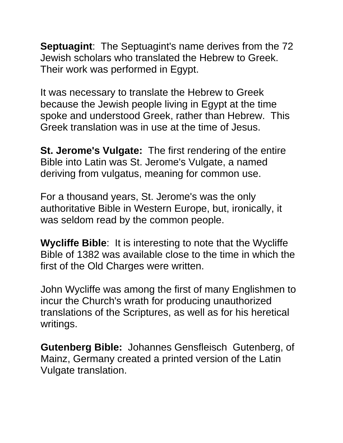**Septuagint**: The Septuagint's name derives from the 72 Jewish scholars who translated the Hebrew to Greek. Their work was performed in Egypt.

It was necessary to translate the Hebrew to Greek because the Jewish people living in Egypt at the time spoke and understood Greek, rather than Hebrew. This Greek translation was in use at the time of Jesus.

**St. Jerome's Vulgate:** The first rendering of the entire Bible into Latin was St. Jerome's Vulgate, a named deriving from vulgatus, meaning for common use.

For a thousand years, St. Jerome's was the only authoritative Bible in Western Europe, but, ironically, it was seldom read by the common people.

**Wycliffe Bible**: It is interesting to note that the Wycliffe Bible of 1382 was available close to the time in which the first of the Old Charges were written.

John Wycliffe was among the first of many Englishmen to incur the Church's wrath for producing unauthorized translations of the Scriptures, as well as for his heretical writings.

**Gutenberg Bible:** Johannes Gensfleisch Gutenberg, of Mainz, Germany created a printed version of the Latin Vulgate translation.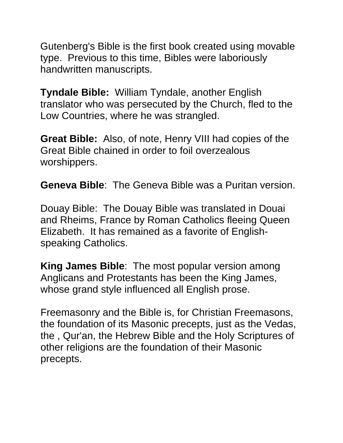Gutenberg's Bible is the first book created using movable type. Previous to this time, Bibles were laboriously handwritten manuscripts.

**Tyndale Bible:** William Tyndale, another English translator who was persecuted by the Church, fled to the Low Countries, where he was strangled.

**Great Bible:** Also, of note, Henry VIII had copies of the Great Bible chained in order to foil overzealous worshippers.

**Geneva Bible**: The Geneva Bible was a Puritan version.

Douay Bible: The Douay Bible was translated in Douai and Rheims, France by Roman Catholics fleeing Queen Elizabeth. It has remained as a favorite of Englishspeaking Catholics.

**King James Bible**: The most popular version among Anglicans and Protestants has been the King James, whose grand style influenced all English prose.

Freemasonry and the Bible is, for Christian Freemasons, the foundation of its Masonic precepts, just as the Vedas, the , Qur'an, the Hebrew Bible and the Holy Scriptures of other religions are the foundation of their Masonic precepts.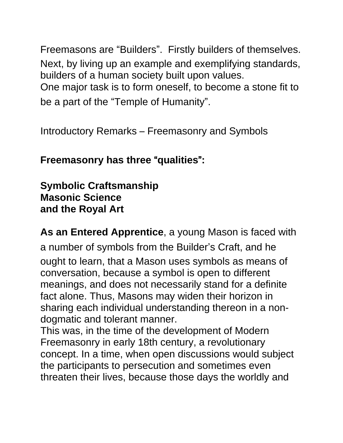Freemasons are "Builders". Firstly builders of themselves. Next, by living up an example and exemplifying standards, builders of a human society built upon values.

One major task is to form oneself, to become a stone fit to be a part of the "Temple of Humanity".

Introductory Remarks – Freemasonry and Symbols

**Freemasonry has three** "**qualities**"**:**

**Symbolic Craftsmanship Masonic Science and the Royal Art**

**As an Entered Apprentice**, a young Mason is faced with a number of symbols from the Builder's Craft, and he ought to learn, that a Mason uses symbols as means of conversation, because a symbol is open to different meanings, and does not necessarily stand for a definite fact alone. Thus, Masons may widen their horizon in sharing each individual understanding thereon in a nondogmatic and tolerant manner.

This was, in the time of the development of Modern Freemasonry in early 18th century, a revolutionary concept. In a time, when open discussions would subject the participants to persecution and sometimes even threaten their lives, because those days the worldly and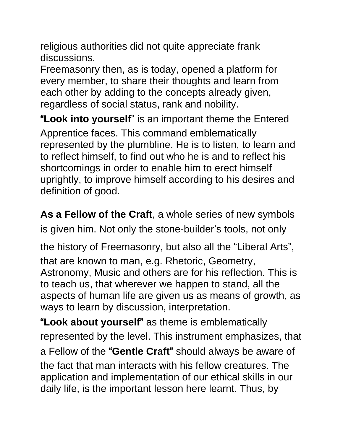religious authorities did not quite appreciate frank discussions.

Freemasonry then, as is today, opened a platform for every member, to share their thoughts and learn from each other by adding to the concepts already given, regardless of social status, rank and nobility.

"**Look into yourself**" is an important theme the Entered Apprentice faces. This command emblematically represented by the plumbline. He is to listen, to learn and to reflect himself, to find out who he is and to reflect his shortcomings in order to enable him to erect himself uprightly, to improve himself according to his desires and definition of good.

**As a Fellow of the Craft**, a whole series of new symbols is given him. Not only the stone-builder's tools, not only

the history of Freemasonry, but also all the "Liberal Arts", that are known to man, e.g. Rhetoric, Geometry, Astronomy, Music and others are for his reflection. This is to teach us, that wherever we happen to stand, all the aspects of human life are given us as means of growth, as ways to learn by discussion, interpretation.

"**Look about yourself**" as theme is emblematically represented by the level. This instrument emphasizes, that a Fellow of the "**Gentle Craft**" should always be aware of the fact that man interacts with his fellow creatures. The application and implementation of our ethical skills in our daily life, is the important lesson here learnt. Thus, by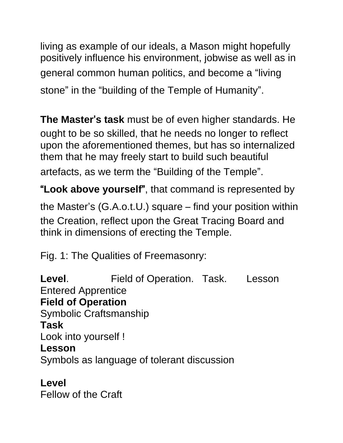living as example of our ideals, a Mason might hopefully positively influence his environment, jobwise as well as in general common human politics, and become a "living stone" in the "building of the Temple of Humanity".

**The Master**'**s task** must be of even higher standards. He ought to be so skilled, that he needs no longer to reflect upon the aforementioned themes, but has so internalized them that he may freely start to build such beautiful artefacts, as we term the "Building of the Temple".

"**Look above yourself**" , that command is represented by

the Master's (G.A.o.t.U.) square – find your position within the Creation, reflect upon the Great Tracing Board and think in dimensions of erecting the Temple.

Fig. 1: The Qualities of Freemasonry:

**Level**. Field of Operation. Task. Lesson Entered Apprentice **Field of Operation** Symbolic Craftsmanship **Task** Look into yourself ! **Lesson** Symbols as language of tolerant discussion

**Level** Fellow of the Craft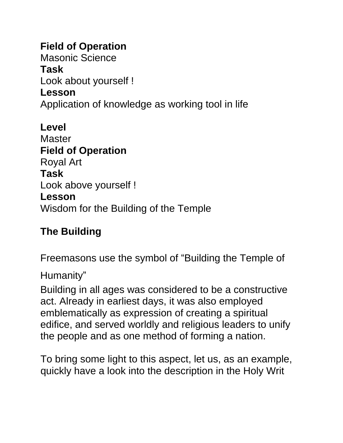### **Field of Operation**

Masonic Science **Task** Look about yourself ! **Lesson** Application of knowledge as working tool in life

**Level Master Field of Operation** Royal Art **Task** Look above yourself ! **Lesson** Wisdom for the Building of the Temple

## **The Building**

Freemasons use the symbol of "Building the Temple of

Humanity"

Building in all ages was considered to be a constructive act. Already in earliest days, it was also employed emblematically as expression of creating a spiritual edifice, and served worldly and religious leaders to unify the people and as one method of forming a nation.

To bring some light to this aspect, let us, as an example, quickly have a look into the description in the Holy Writ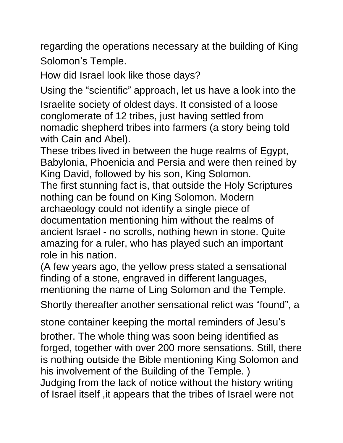regarding the operations necessary at the building of King Solomon's Temple.

How did Israel look like those days?

Using the "scientific" approach, let us have a look into the Israelite society of oldest days. It consisted of a loose conglomerate of 12 tribes, just having settled from nomadic shepherd tribes into farmers (a story being told with Cain and Abel).

These tribes lived in between the huge realms of Egypt, Babylonia, Phoenicia and Persia and were then reined by King David, followed by his son, King Solomon. The first stunning fact is, that outside the Holy Scriptures nothing can be found on King Solomon. Modern archaeology could not identify a single piece of documentation mentioning him without the realms of ancient Israel - no scrolls, nothing hewn in stone. Quite amazing for a ruler, who has played such an important role in his nation.

(A few years ago, the yellow press stated a sensational finding of a stone, engraved in different languages, mentioning the name of Ling Solomon and the Temple.

Shortly thereafter another sensational relict was "found", a

stone container keeping the mortal reminders of Jesu's brother. The whole thing was soon being identified as forged, together with over 200 more sensations. Still, there is nothing outside the Bible mentioning King Solomon and his involvement of the Building of the Temple. ) Judging from the lack of notice without the history writing of Israel itself ,it appears that the tribes of Israel were not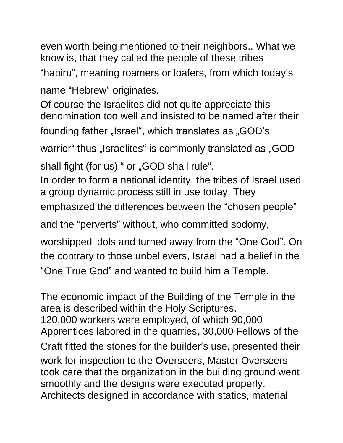even worth being mentioned to their neighbors.. What we know is, that they called the people of these tribes "habiru", meaning roamers or loafers, from which today's

name "Hebrew" originates.

Of course the Israelites did not quite appreciate this denomination too well and insisted to be named after their founding father "Israel", which translates as "GOD's

warrior" thus "Israelites" is commonly translated as "GOD

shall fight (for us) " or "GOD shall rule".

In order to form a national identity, the tribes of Israel used a group dynamic process still in use today. They

emphasized the differences between the "chosen people"

and the "perverts" without, who committed sodomy,

worshipped idols and turned away from the "One God". On the contrary to those unbelievers, Israel had a belief in the "One True God" and wanted to build him a Temple.

The economic impact of the Building of the Temple in the area is described within the Holy Scriptures. 120,000 workers were employed, of which 90,000 Apprentices labored in the quarries, 30,000 Fellows of the Craft fitted the stones for the builder's use, presented their work for inspection to the Overseers, Master Overseers took care that the organization in the building ground went smoothly and the designs were executed properly, Architects designed in accordance with statics, material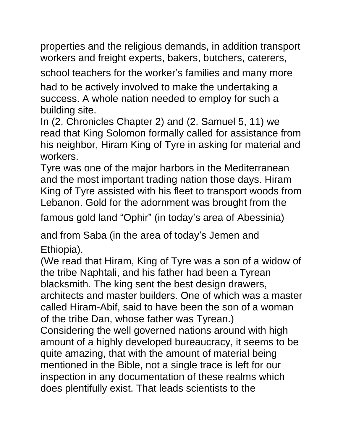properties and the religious demands, in addition transport workers and freight experts, bakers, butchers, caterers,

school teachers for the worker's families and many more had to be actively involved to make the undertaking a success. A whole nation needed to employ for such a building site.

In (2. Chronicles Chapter 2) and (2. Samuel 5, 11) we read that King Solomon formally called for assistance from his neighbor, Hiram King of Tyre in asking for material and workers.

Tyre was one of the major harbors in the Mediterranean and the most important trading nation those days. Hiram King of Tyre assisted with his fleet to transport woods from Lebanon. Gold for the adornment was brought from the

famous gold land "Ophir" (in today's area of Abessinia)

and from Saba (in the area of today's Jemen and Ethiopia).

(We read that Hiram, King of Tyre was a son of a widow of the tribe Naphtali, and his father had been a Tyrean blacksmith. The king sent the best design drawers, architects and master builders. One of which was a master called Hiram-Abif, said to have been the son of a woman of the tribe Dan, whose father was Tyrean.) Considering the well governed nations around with high amount of a highly developed bureaucracy, it seems to be quite amazing, that with the amount of material being mentioned in the Bible, not a single trace is left for our inspection in any documentation of these realms which does plentifully exist. That leads scientists to the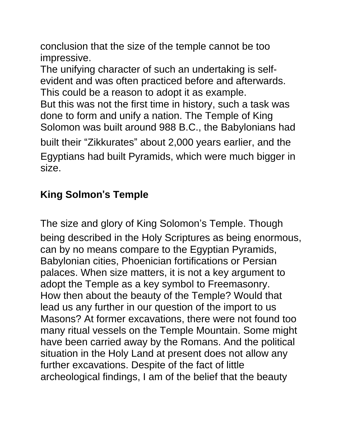conclusion that the size of the temple cannot be too impressive.

The unifying character of such an undertaking is selfevident and was often practiced before and afterwards. This could be a reason to adopt it as example. But this was not the first time in history, such a task was done to form and unify a nation. The Temple of King Solomon was built around 988 B.C., the Babylonians had built their "Zikkurates" about 2,000 years earlier, and the Egyptians had built Pyramids, which were much bigger in size.

# **King Solmon**'**s Temple**

The size and glory of King Solomon's Temple. Though being described in the Holy Scriptures as being enormous, can by no means compare to the Egyptian Pyramids, Babylonian cities, Phoenician fortifications or Persian palaces. When size matters, it is not a key argument to adopt the Temple as a key symbol to Freemasonry. How then about the beauty of the Temple? Would that lead us any further in our question of the import to us Masons? At former excavations, there were not found too many ritual vessels on the Temple Mountain. Some might have been carried away by the Romans. And the political situation in the Holy Land at present does not allow any further excavations. Despite of the fact of little archeological findings, I am of the belief that the beauty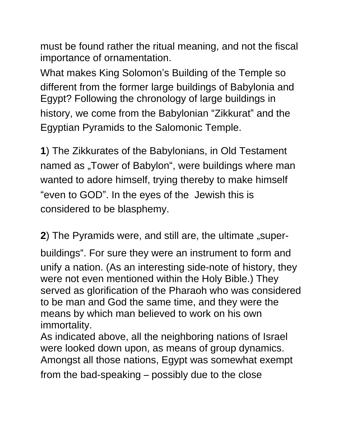must be found rather the ritual meaning, and not the fiscal importance of ornamentation.

What makes King Solomon's Building of the Temple so different from the former large buildings of Babylonia and Egypt? Following the chronology of large buildings in history, we come from the Babylonian "Zikkurat" and the Egyptian Pyramids to the Salomonic Temple.

**1**) The Zikkurates of the Babylonians, in Old Testament named as "Tower of Babylon", were buildings where man wanted to adore himself, trying thereby to make himself "even to GOD". In the eyes of the Jewish this is considered to be blasphemy.

**2**) The Pyramids were, and still are, the ultimate "super-

buildings". For sure they were an instrument to form and unify a nation. (As an interesting side-note of history, they were not even mentioned within the Holy Bible.) They served as glorification of the Pharaoh who was considered to be man and God the same time, and they were the means by which man believed to work on his own immortality.

As indicated above, all the neighboring nations of Israel were looked down upon, as means of group dynamics. Amongst all those nations, Egypt was somewhat exempt from the bad-speaking – possibly due to the close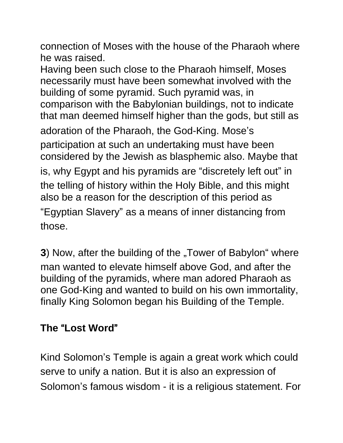connection of Moses with the house of the Pharaoh where he was raised.

Having been such close to the Pharaoh himself, Moses necessarily must have been somewhat involved with the building of some pyramid. Such pyramid was, in comparison with the Babylonian buildings, not to indicate that man deemed himself higher than the gods, but still as adoration of the Pharaoh, the God-King. Mose's participation at such an undertaking must have been considered by the Jewish as blasphemic also. Maybe that is, why Egypt and his pyramids are "discretely left out" in the telling of history within the Holy Bible, and this might also be a reason for the description of this period as "Egyptian Slavery" as a means of inner distancing from those.

**3**) Now, after the building of the "Tower of Babylon" where man wanted to elevate himself above God, and after the building of the pyramids, where man adored Pharaoh as one God-King and wanted to build on his own immortality, finally King Solomon began his Building of the Temple.

## **The** "**Lost Word**"

Kind Solomon's Temple is again a great work which could serve to unify a nation. But it is also an expression of Solomon's famous wisdom - it is a religious statement. For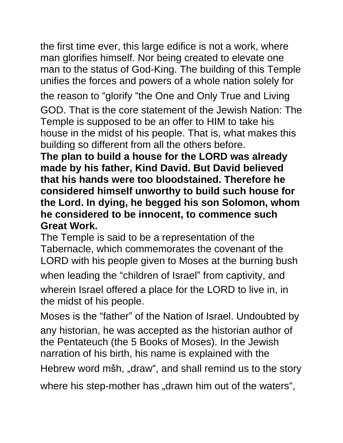the first time ever, this large edifice is not a work, where man glorifies himself. Nor being created to elevate one man to the status of God-King. The building of this Temple unifies the forces and powers of a whole nation solely for

the reason to "glorify "the One and Only True and Living GOD. That is the core statement of the Jewish Nation: The Temple is supposed to be an offer to HIM to take his house in the midst of his people. That is, what makes this building so different from all the others before.

**The plan to build a house for the LORD was already made by his father, Kind David. But David believed that his hands were too bloodstained. Therefore he considered himself unworthy to build such house for the Lord. In dying, he begged his son Solomon, whom he considered to be innocent, to commence such Great Work.**

The Temple is said to be a representation of the Tabernacle, which commemorates the covenant of the LORD with his people given to Moses at the burning bush when leading the "children of Israel" from captivity, and wherein Israel offered a place for the LORD to live in, in the midst of his people.

Moses is the "father" of the Nation of Israel. Undoubted by any historian, he was accepted as the historian author of the Pentateuch (the 5 Books of Moses). In the Jewish narration of his birth, his name is explained with the Hebrew word mšh, "draw", and shall remind us to the story

where his step-mother has "drawn him out of the waters",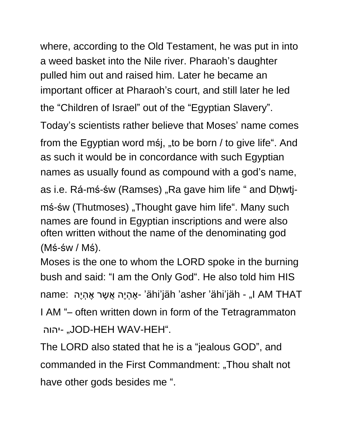where, according to the Old Testament, he was put in into a weed basket into the Nile river. Pharaoh's daughter pulled him out and raised him. Later he became an important officer at Pharaoh's court, and still later he led the "Children of Israel" out of the "Egyptian Slavery".

Today's scientists rather believe that Moses' name comes

from the Egyptian word mśj, "to be born / to give life". And as such it would be in concordance with such Egyptian names as usually found as compound with a god's name,

as i.e. Rá-mś-św (Ramses) "Ra gave him life " and Dhwtj-

mś-św (Thutmoses) "Thought gave him life". Many such names are found in Egyptian inscriptions and were also often written without the name of the denominating god (Mś-św / Mś).

Moses is the one to whom the LORD spoke in the burning bush and said: "I am the Only God". He also told him HIS name: הֶי ְאהֶ שרֲאֶ הֶי ְאהֶ -' ähi'jäh 'asher 'ähi'jäh - "I AM THAT I AM "– often written down in form of the Tetragrammaton יהוה-" JOD-HEH WAV-HEH".

The LORD also stated that he is a "jealous GOD", and commanded in the First Commandment: "Thou shalt not have other gods besides me ".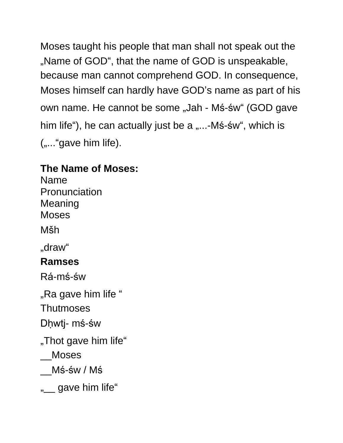Moses taught his people that man shall not speak out the ".Name of GOD", that the name of GOD is unspeakable, because man cannot comprehend GOD. In consequence, Moses himself can hardly have GOD's name as part of his own name. He cannot be some "Jah - Mś-św" (GOD gave him life"), he can actually just be a  $,...$ -Mś-św", which is ("..."gave him life).

### **The Name of Moses:**

Name **Pronunciation** Meaning **Moses** Mšh "draw"

## **Ramses**

Rá-mś-św

"Ra gave him life"

**Thutmoses** 

Dḥwtj- mś-św

"Thot gave him life"

\_\_Moses

\_\_Mś-św / Mś

"<sub>\_\_\_</sub> gave him life"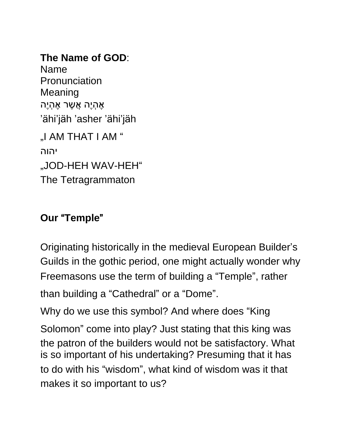**The Name of GOD**: Name **Pronunciation** Meaning ָאֵהָיֶה אֲשֶׁר אֱהָיֶה 'ähi'jäh 'asher 'ähi'jäh "I AM THAT I AM " יהוה "JOD-HEH WAV-HEH" The Tetragrammaton

### **Our** "**Temple**"

Originating historically in the medieval European Builder's Guilds in the gothic period, one might actually wonder why Freemasons use the term of building a "Temple", rather than building a "Cathedral" or a "Dome".

Why do we use this symbol? And where does "King Solomon" come into play? Just stating that this king was the patron of the builders would not be satisfactory. What is so important of his undertaking? Presuming that it has to do with his "wisdom", what kind of wisdom was it that makes it so important to us?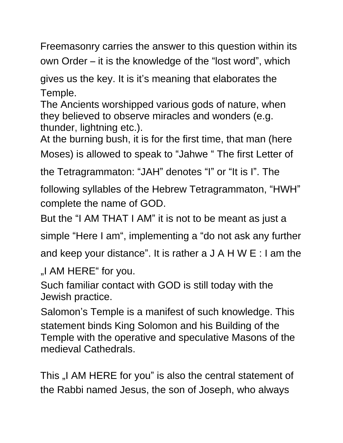Freemasonry carries the answer to this question within its own Order – it is the knowledge of the "lost word", which

gives us the key. It is it's meaning that elaborates the Temple.

The Ancients worshipped various gods of nature, when they believed to observe miracles and wonders (e.g. thunder, lightning etc.).

At the burning bush, it is for the first time, that man (here Moses) is allowed to speak to "Jahwe " The first Letter of

the Tetragrammaton: "JAH" denotes "I" or "It is I". The

following syllables of the Hebrew Tetragrammaton, "HWH" complete the name of GOD.

But the "I AM THAT I AM" it is not to be meant as just a

simple "Here I am", implementing a "do not ask any further

and keep your distance". It is rather a J A H W E : I am the

I AM HERE" for you.

Such familiar contact with GOD is still today with the Jewish practice.

Salomon's Temple is a manifest of such knowledge. This statement binds King Solomon and his Building of the Temple with the operative and speculative Masons of the medieval Cathedrals.

This "I AM HERE for you" is also the central statement of the Rabbi named Jesus, the son of Joseph, who always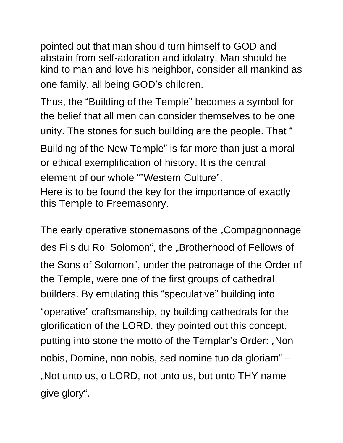pointed out that man should turn himself to GOD and abstain from self-adoration and idolatry. Man should be kind to man and love his neighbor, consider all mankind as one family, all being GOD's children.

Thus, the "Building of the Temple" becomes a symbol for the belief that all men can consider themselves to be one unity. The stones for such building are the people. That "

Building of the New Temple" is far more than just a moral or ethical exemplification of history. It is the central element of our whole ""Western Culture".

Here is to be found the key for the importance of exactly this Temple to Freemasonry.

The early operative stonemasons of the "Compagnonnage des Fils du Roi Solomon", the "Brotherhood of Fellows of the Sons of Solomon", under the patronage of the Order of the Temple, were one of the first groups of cathedral builders. By emulating this "speculative" building into "operative" craftsmanship, by building cathedrals for the glorification of the LORD, they pointed out this concept, putting into stone the motto of the Templar's Order: "Non nobis, Domine, non nobis, sed nomine tuo da gloriam" – ".Not unto us, o LORD, not unto us, but unto THY name give glory".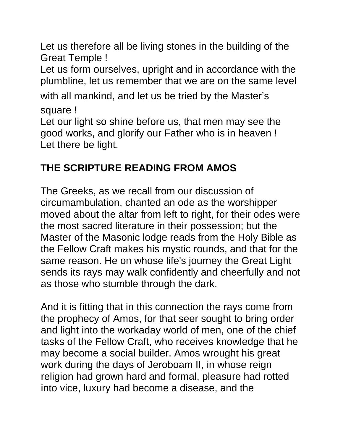Let us therefore all be living stones in the building of the Great Temple !

Let us form ourselves, upright and in accordance with the plumbline, let us remember that we are on the same level

with all mankind, and let us be tried by the Master's square !

Let our light so shine before us, that men may see the good works, and glorify our Father who is in heaven ! Let there be light.

## **THE SCRIPTURE READING FROM AMOS**

The Greeks, as we recall from our discussion of circumambulation, chanted an ode as the worshipper moved about the altar from left to right, for their odes were the most sacred literature in their possession; but the Master of the Masonic lodge reads from the Holy Bible as the Fellow Craft makes his mystic rounds, and that for the same reason. He on whose life's journey the Great Light sends its rays may walk confidently and cheerfully and not as those who stumble through the dark.

And it is fitting that in this connection the rays come from the prophecy of Amos, for that seer sought to bring order and light into the workaday world of men, one of the chief tasks of the Fellow Craft, who receives knowledge that he may become a social builder. Amos wrought his great work during the days of Jeroboam II, in whose reign religion had grown hard and formal, pleasure had rotted into vice, luxury had become a disease, and the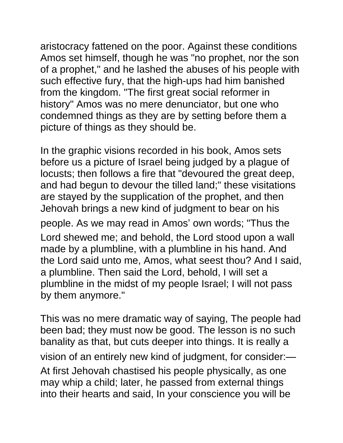aristocracy fattened on the poor. Against these conditions Amos set himself, though he was "no prophet, nor the son of a prophet," and he lashed the abuses of his people with such effective fury, that the high-ups had him banished from the kingdom. "The first great social reformer in history" Amos was no mere denunciator, but one who condemned things as they are by setting before them a picture of things as they should be.

In the graphic visions recorded in his book, Amos sets before us a picture of Israel being judged by a plague of locusts; then follows a fire that "devoured the great deep, and had begun to devour the tilled land;" these visitations are stayed by the supplication of the prophet, and then Jehovah brings a new kind of judgment to bear on his people. As we may read in Amos' own words; "Thus the Lord shewed me; and behold, the Lord stood upon a wall made by a plumbline, with a plumbline in his hand. And the Lord said unto me, Amos, what seest thou? And I said, a plumbline. Then said the Lord, behold, I will set a plumbline in the midst of my people Israel; I will not pass by them anymore."

This was no mere dramatic way of saying, The people had been bad; they must now be good. The lesson is no such banality as that, but cuts deeper into things. It is really a vision of an entirely new kind of judgment, for consider:— At first Jehovah chastised his people physically, as one may whip a child; later, he passed from external things into their hearts and said, In your conscience you will be